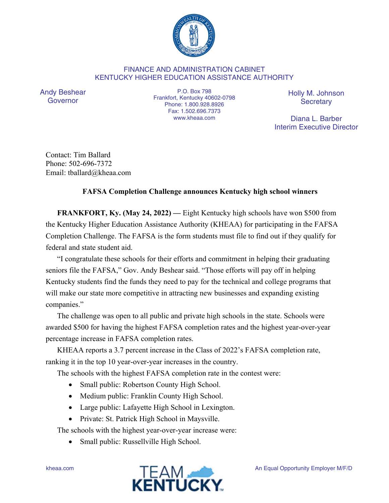

## FINANCE AND ADMINISTRATION CABINET KENTUCKY HIGHER EDUCATION ASSISTANCE AUTHORITY

Andy Beshear Governor

P.O. Box 798 Frankfort, Kentucky 40602-0798 Phone: 1.800.928.8926 Fax: 1.502.696.7373 www.kheaa.com

Holly M. Johnson **Secretary** 

Diana L. Barber Interim Executive Director

Contact: Tim Ballard Phone: 502-696-7372 Email: tballard@kheaa.com

## **FAFSA Completion Challenge announces Kentucky high school winners**

**FRANKFORT, Ky. (May 24, 2022) —** Eight Kentucky high schools have won \$500 from the Kentucky Higher Education Assistance Authority (KHEAA) for participating in the FAFSA Completion Challenge. The FAFSA is the form students must file to find out if they qualify for federal and state student aid.

"I congratulate these schools for their efforts and commitment in helping their graduating seniors file the FAFSA," Gov. Andy Beshear said. "Those efforts will pay off in helping Kentucky students find the funds they need to pay for the technical and college programs that will make our state more competitive in attracting new businesses and expanding existing companies."

The challenge was open to all public and private high schools in the state. Schools were awarded \$500 for having the highest FAFSA completion rates and the highest year-over-year percentage increase in FAFSA completion rates.

KHEAA reports a 3.7 percent increase in the Class of 2022's FAFSA completion rate, ranking it in the top 10 year-over-year increases in the country.

The schools with the highest FAFSA completion rate in the contest were:

- Small public: Robertson County High School.
- Medium public: Franklin County High School.
- Large public: Lafayette High School in Lexington.
- Private: St. Patrick High School in Maysville.

The schools with the highest year-over-year increase were:

• Small public: Russellville High School.